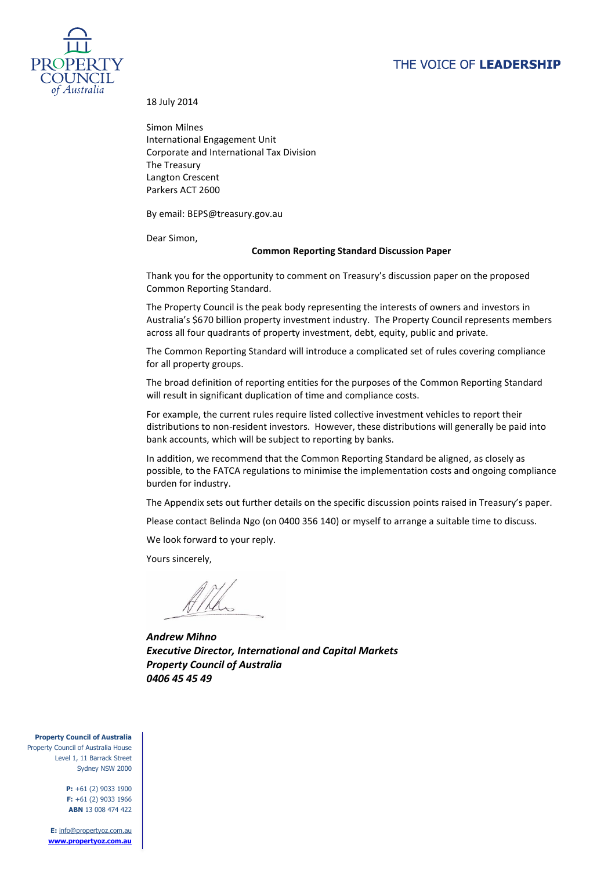# THE VOICE OF LEADERSHIP



18 July 2014

Simon Milnes International Engagement Unit Corporate and International Tax Division The Treasury Langton Crescent Parkers ACT 2600

By email: BEPS@treasury.gov.au

Dear Simon,

#### **Common Reporting Standard Discussion Paper**

Thank you for the opportunity to comment on Treasury's discussion paper on the proposed Common Reporting Standard.

The Property Council is the peak body representing the interests of owners and investors in Australia's \$670 billion property investment industry. The Property Council represents members across all four quadrants of property investment, debt, equity, public and private.

The Common Reporting Standard will introduce a complicated set of rules covering compliance for all property groups.

The broad definition of reporting entities for the purposes of the Common Reporting Standard will result in significant duplication of time and compliance costs.

For example, the current rules require listed collective investment vehicles to report their distributions to non-resident investors. However, these distributions will generally be paid into bank accounts, which will be subject to reporting by banks.

In addition, we recommend that the Common Reporting Standard be aligned, as closely as possible, to the FATCA regulations to minimise the implementation costs and ongoing compliance burden for industry.

The Appendix sets out further details on the specific discussion points raised in Treasury's paper.

Please contact Belinda Ngo (on 0400 356 140) or myself to arrange a suitable time to discuss.

We look forward to your reply.

Yours sincerely,

*Andrew Mihno Executive Director, International and Capital Markets Property Council of Australia 0406 45 45 49*

**Property Council of Australia**

Property Council of Australia House Level 1, 11 Barrack Street Sydney NSW 2000

> **P:** +61 (2) 9033 1900 **F:** +61 (2) 9033 1966 **ABN** 13 008 474 422

**E:** [info@propertyoz.com.au](mailto:info@propertyoz.com.au) **[www.propertyoz.com.au](http://www.propertyoz.com.au/)**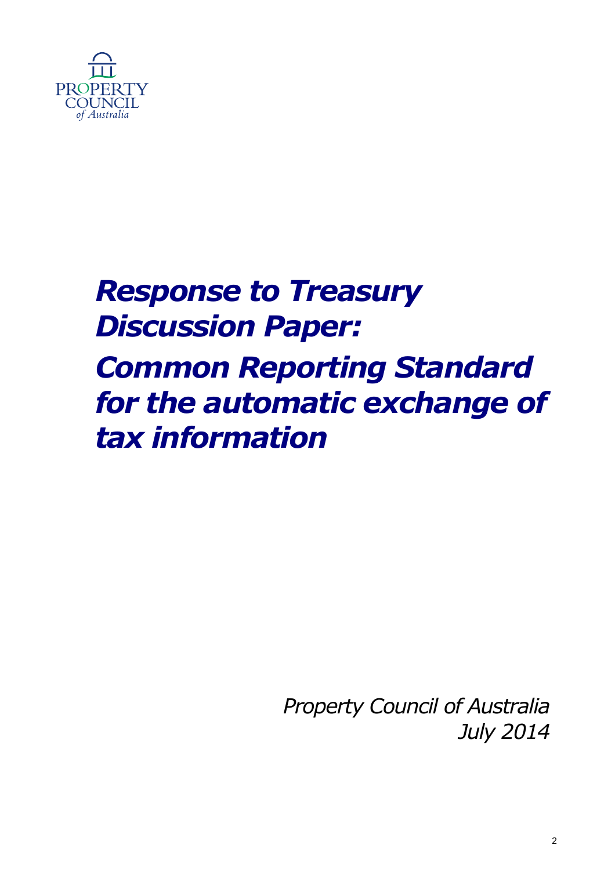

# *Response to Treasury Discussion Paper: Common Reporting Standard for the automatic exchange of tax information*

*Property Council of Australia July 2014*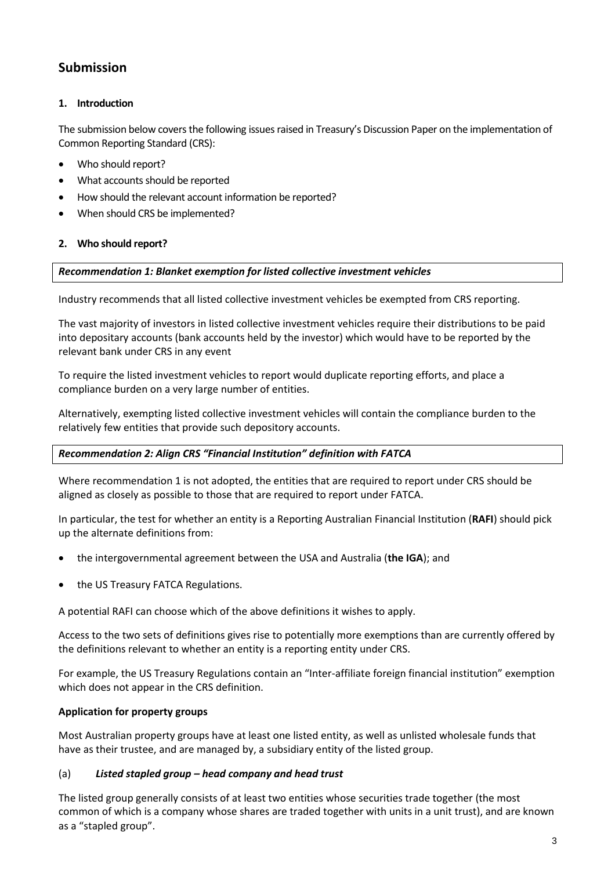# **Submission**

# **1. Introduction**

The submission below covers the following issues raised in Treasury's Discussion Paper on the implementation of Common Reporting Standard (CRS):

- Who should report?
- What accounts should be reported
- How should the relevant account information be reported?
- When should CRS be implemented?

### **2. Who should report?**

### *Recommendation 1: Blanket exemption for listed collective investment vehicles*

Industry recommends that all listed collective investment vehicles be exempted from CRS reporting.

The vast majority of investors in listed collective investment vehicles require their distributions to be paid into depositary accounts (bank accounts held by the investor) which would have to be reported by the relevant bank under CRS in any event

To require the listed investment vehicles to report would duplicate reporting efforts, and place a compliance burden on a very large number of entities.

Alternatively, exempting listed collective investment vehicles will contain the compliance burden to the relatively few entities that provide such depository accounts.

### *Recommendation 2: Align CRS "Financial Institution" definition with FATCA*

Where recommendation 1 is not adopted, the entities that are required to report under CRS should be aligned as closely as possible to those that are required to report under FATCA.

In particular, the test for whether an entity is a Reporting Australian Financial Institution (**RAFI**) should pick up the alternate definitions from:

- the intergovernmental agreement between the USA and Australia (**the IGA**); and
- the US Treasury FATCA Regulations.

A potential RAFI can choose which of the above definitions it wishes to apply.

Access to the two sets of definitions gives rise to potentially more exemptions than are currently offered by the definitions relevant to whether an entity is a reporting entity under CRS.

For example, the US Treasury Regulations contain an "Inter-affiliate foreign financial institution" exemption which does not appear in the CRS definition.

### **Application for property groups**

Most Australian property groups have at least one listed entity, as well as unlisted wholesale funds that have as their trustee, and are managed by, a subsidiary entity of the listed group.

### (a) *Listed stapled group – head company and head trust*

The listed group generally consists of at least two entities whose securities trade together (the most common of which is a company whose shares are traded together with units in a unit trust), and are known as a "stapled group".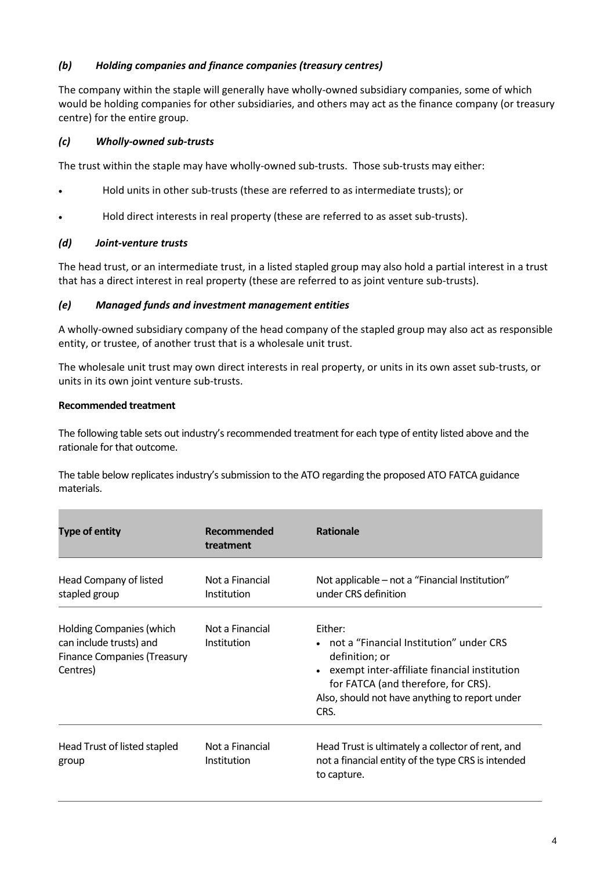# *(b) Holding companies and finance companies (treasury centres)*

The company within the staple will generally have wholly-owned subsidiary companies, some of which would be holding companies for other subsidiaries, and others may act as the finance company (or treasury centre) for the entire group.

# *(c) Wholly-owned sub-trusts*

The trust within the staple may have wholly-owned sub-trusts. Those sub-trusts may either:

- Hold units in other sub-trusts (these are referred to as intermediate trusts); or
- Hold direct interests in real property (these are referred to as asset sub-trusts).

#### *(d) Joint-venture trusts*

The head trust, or an intermediate trust, in a listed stapled group may also hold a partial interest in a trust that has a direct interest in real property (these are referred to as joint venture sub-trusts).

#### *(e) Managed funds and investment management entities*

A wholly-owned subsidiary company of the head company of the stapled group may also act as responsible entity, or trustee, of another trust that is a wholesale unit trust.

The wholesale unit trust may own direct interests in real property, or units in its own asset sub-trusts, or units in its own joint venture sub-trusts.

#### **Recommended treatment**

The following table sets out industry's recommended treatment for each type of entity listed above and the rationale for that outcome.

The table below replicates industry's submission to the ATO regarding the proposed ATO FATCA guidance materials.

| <b>Type of entity</b>                                                                                        | Recommended<br>treatment       | <b>Rationale</b>                                                                                                                                                                                                        |
|--------------------------------------------------------------------------------------------------------------|--------------------------------|-------------------------------------------------------------------------------------------------------------------------------------------------------------------------------------------------------------------------|
| Head Company of listed<br>stapled group                                                                      | Not a Financial<br>Institution | Not applicable – not a "Financial Institution"<br>under CRS definition                                                                                                                                                  |
| <b>Holding Companies (which</b><br>can include trusts) and<br><b>Finance Companies (Treasury</b><br>Centres) | Not a Financial<br>Institution | Either:<br>• not a "Financial Institution" under CRS<br>definition; or<br>exempt inter-affiliate financial institution<br>for FATCA (and therefore, for CRS).<br>Also, should not have anything to report under<br>CRS. |
| Head Trust of listed stapled<br>group                                                                        | Not a Financial<br>Institution | Head Trust is ultimately a collector of rent, and<br>not a financial entity of the type CRS is intended<br>to capture.                                                                                                  |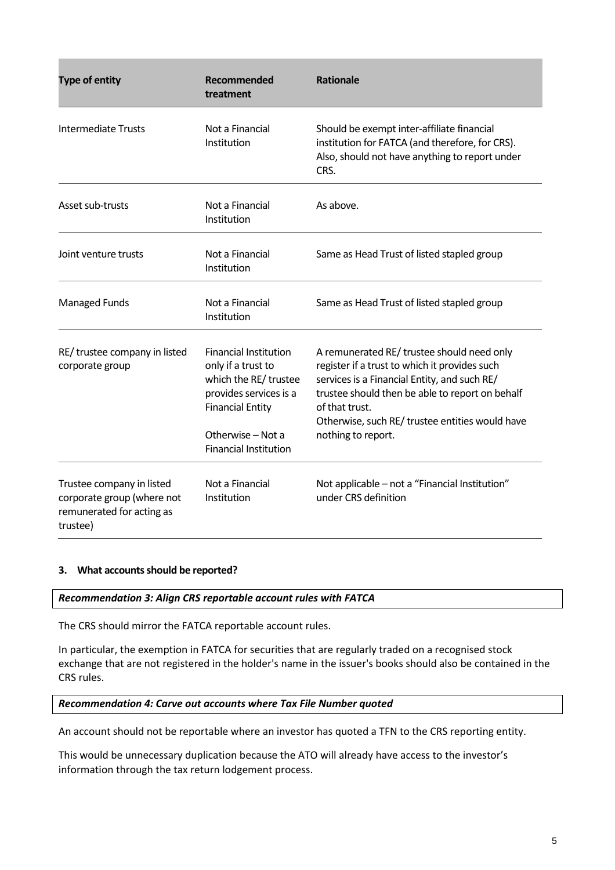| <b>Type of entity</b>                                                                            | Recommended<br>treatment                                                                                                                                                              | <b>Rationale</b>                                                                                                                                                                                                                                                                          |
|--------------------------------------------------------------------------------------------------|---------------------------------------------------------------------------------------------------------------------------------------------------------------------------------------|-------------------------------------------------------------------------------------------------------------------------------------------------------------------------------------------------------------------------------------------------------------------------------------------|
| <b>Intermediate Trusts</b>                                                                       | Not a Financial<br>Institution                                                                                                                                                        | Should be exempt inter-affiliate financial<br>institution for FATCA (and therefore, for CRS).<br>Also, should not have anything to report under<br>CRS.                                                                                                                                   |
| Asset sub-trusts                                                                                 | Not a Financial<br>Institution                                                                                                                                                        | As above.                                                                                                                                                                                                                                                                                 |
| Joint venture trusts                                                                             | Not a Financial<br>Institution                                                                                                                                                        | Same as Head Trust of listed stapled group                                                                                                                                                                                                                                                |
| <b>Managed Funds</b>                                                                             | Not a Financial<br>Institution                                                                                                                                                        | Same as Head Trust of listed stapled group                                                                                                                                                                                                                                                |
| RE/ trustee company in listed<br>corporate group                                                 | <b>Financial Institution</b><br>only if a trust to<br>which the RE/ trustee<br>provides services is a<br><b>Financial Entity</b><br>Otherwise - Not a<br><b>Financial Institution</b> | A remunerated RE/ trustee should need only<br>register if a trust to which it provides such<br>services is a Financial Entity, and such RE/<br>trustee should then be able to report on behalf<br>of that trust.<br>Otherwise, such RE/ trustee entities would have<br>nothing to report. |
| Trustee company in listed<br>corporate group (where not<br>remunerated for acting as<br>trustee) | Not a Financial<br>Institution                                                                                                                                                        | Not applicable - not a "Financial Institution"<br>under CRS definition                                                                                                                                                                                                                    |

#### **3. What accounts should be reported?**

#### *Recommendation 3: Align CRS reportable account rules with FATCA*

The CRS should mirror the FATCA reportable account rules.

In particular, the exemption in FATCA for securities that are regularly traded on a recognised stock exchange that are not registered in the holder's name in the issuer's books should also be contained in the CRS rules.

#### *Recommendation 4: Carve out accounts where Tax File Number quoted*

An account should not be reportable where an investor has quoted a TFN to the CRS reporting entity.

This would be unnecessary duplication because the ATO will already have access to the investor's information through the tax return lodgement process.